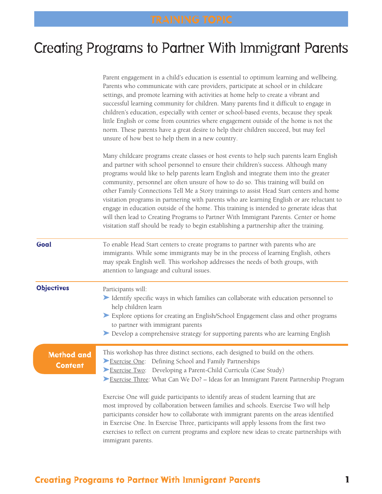# Creating Programs to Partner With Immigrant Parents

|                              | Parent engagement in a child's education is essential to optimum learning and wellbeing.<br>Parents who communicate with care providers, participate at school or in childcare<br>settings, and promote learning with activities at home help to create a vibrant and<br>successful learning community for children. Many parents find it difficult to engage in<br>children's education, especially with center or school-based events, because they speak<br>little English or come from countries where engagement outside of the home is not the<br>norm. These parents have a great desire to help their children succeed, but may feel<br>unsure of how best to help them in a new country.                                                                                                                                           |  |  |  |
|------------------------------|---------------------------------------------------------------------------------------------------------------------------------------------------------------------------------------------------------------------------------------------------------------------------------------------------------------------------------------------------------------------------------------------------------------------------------------------------------------------------------------------------------------------------------------------------------------------------------------------------------------------------------------------------------------------------------------------------------------------------------------------------------------------------------------------------------------------------------------------|--|--|--|
|                              | Many childcare programs create classes or host events to help such parents learn English<br>and partner with school personnel to ensure their children's success. Although many<br>programs would like to help parents learn English and integrate them into the greater<br>community, personnel are often unsure of how to do so. This training will build on<br>other Family Connections Tell Me a Story trainings to assist Head Start centers and home<br>visitation programs in partnering with parents who are learning English or are reluctant to<br>engage in education outside of the home. This training is intended to generate ideas that<br>will then lead to Creating Programs to Partner With Immigrant Parents. Center or home<br>visitation staff should be ready to begin establishing a partnership after the training. |  |  |  |
| Goal                         | To enable Head Start centers to create programs to partner with parents who are<br>immigrants. While some immigrants may be in the process of learning English, others<br>may speak English well. This workshop addresses the needs of both groups, with<br>attention to language and cultural issues.                                                                                                                                                                                                                                                                                                                                                                                                                                                                                                                                      |  |  |  |
| <b>Objectives</b>            | Participants will:<br>Identify specific ways in which families can collaborate with education personnel to<br>help children learn<br>Explore options for creating an English/School Engagement class and other programs<br>to partner with immigrant parents<br>Develop a comprehensive strategy for supporting parents who are learning English                                                                                                                                                                                                                                                                                                                                                                                                                                                                                            |  |  |  |
| Method and<br><b>Content</b> | This workshop has three distinct sections, each designed to build on the others.<br>Exercise One: Defining School and Family Partnerships<br>Exercise Two: Developing a Parent-Child Curricula (Case Study)<br>Exercise Three: What Can We Do? – Ideas for an Immigrant Parent Partnership Program<br>Exercise One will guide participants to identify areas of student learning that are<br>most improved by collaboration between families and schools. Exercise Two will help<br>participants consider how to collaborate with immigrant parents on the areas identified<br>in Exercise One. In Exercise Three, participants will apply lessons from the first two<br>exercises to reflect on current programs and explore new ideas to create partnerships with                                                                         |  |  |  |

immigrant parents.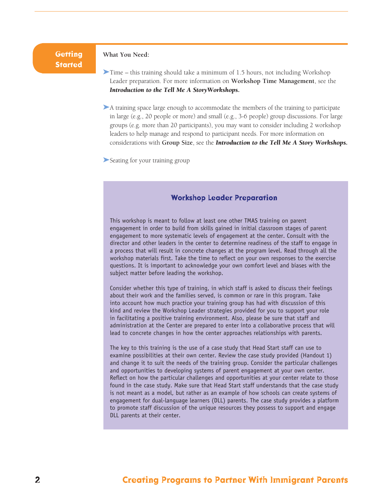## **Getting Started**

## **What You Need:**

➤Time – this training should take a minimum of 1.5 hours, not including Workshop Leader preparation. For more information on **Workshop Time Management**, see the *Introduction to the Tell Me A StoryWorkshops.* 

➤A training space large enough to accommodate the members of the training to participate in large (e.g., 20 people or more) and small (e.g., 3-6 people) group discussions. For large groups (e.g. more than 20 participants), you may want to consider including 2 workshop leaders to help manage and respond to participant needs. For more information on considerations with **Group Size**, see the *Introduction to the Tell Me A Story Workshops.* 

➤Seating for your training group

## **Workshop Leader Preparation**

This workshop is meant to follow at least one other TMAS training on parent engagement in order to build from skills gained in initial classroom stages of parent engagement to more systematic levels of engagement at the center. Consult with the director and other leaders in the center to determine readiness of the staff to engage in a process that will result in concrete changes at the program level. Read through all the workshop materials first. Take the time to reflect on your own responses to the exercise questions. It is important to acknowledge your own comfort level and biases with the subject matter before leading the workshop.

Consider whether this type of training, in which staff is asked to discuss their feelings about their work and the families served, is common or rare in this program. Take into account how much practice your training group has had with discussion of this kind and review the Workshop Leader strategies provided for you to support your role in facilitating a positive training environment. Also, please be sure that staff and administration at the Center are prepared to enter into a collaborative process that will lead to concrete changes in how the center approaches relationships with parents.

The key to this training is the use of a case study that Head Start staff can use to examine possibilities at their own center. Review the case study provided (Handout 1) and change it to suit the needs of the training group. Consider the particular challenges and opportunities to developing systems of parent engagement at your own center. Reflect on how the particular challenges and opportunities at your center relate to those found in the case study. Make sure that Head Start staff understands that the case study is not meant as a model, but rather as an example of how schools can create systems of engagement for dual-language learners (DLL) parents. The case study provides a platform to promote staff discussion of the unique resources they possess to support and engage DLL parents at their center.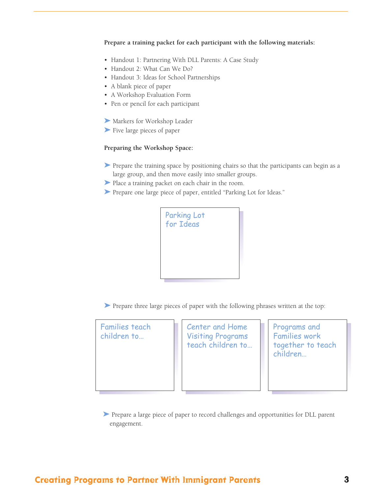**Prepare a training packet for each participant with the following materials:**

- Handout 1: Partnering With DLL Parents: A Case Study
- Handout 2: What Can We Do?
- Handout 3: Ideas for School Partnerships
- A blank piece of paper
- A Workshop Evaluation Form
- Pen or pencil for each participant
- ➤ Markers for Workshop Leader
- ➤ Five large pieces of paper

## **Preparing the Workshop Space:**

- ➤ Prepare the training space by positioning chairs so that the participants can begin as a large group, and then move easily into smaller groups.
- ➤ Place a training packet on each chair in the room.
- ➤ Prepare one large piece of paper, entitled "Parking Lot for Ideas."



➤ Prepare three large pieces of paper with the following phrases written at the top:

Families teach children to…

Center and Home Visiting Programs teach children to…

Programs and Families work together to teach children…

➤ Prepare a large piece of paper to record challenges and opportunities for DLL parent engagement.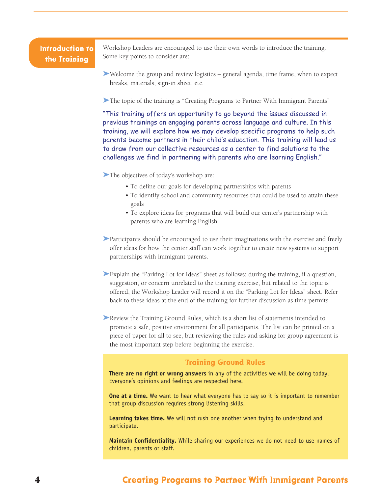## **Introduction to the Training**

Workshop Leaders are encouraged to use their own words to introduce the training. Some key points to consider are:

➤Welcome the group and review logistics – general agenda, time frame, when to expect breaks, materials, sign-in sheet, etc.

➤The topic of the training is "Creating Programs to Partner With Immigrant Parents"

"This training offers an opportunity to go beyond the issues discussed in previous trainings on engaging parents across language and culture. In this training, we will explore how we may develop specific programs to help such parents become partners in their child's education. This training will lead us to draw from our collective resources as a center to find solutions to the challenges we find in partnering with parents who are learning English."

➤The objectives of today's workshop are:

- To define our goals for developing partnerships with parents
- To identify school and community resources that could be used to attain these goals
- To explore ideas for programs that will build our center's partnership with parents who are learning English
- ➤Participants should be encouraged to use their imaginations with the exercise and freely offer ideas for how the center staff can work together to create new systems to support partnerships with immigrant parents.
- ➤Explain the "Parking Lot for Ideas" sheet as follows: during the training, if a question, suggestion, or concern unrelated to the training exercise, but related to the topic is offered, the Workshop Leader will record it on the "Parking Lot for Ideas" sheet. Refer back to these ideas at the end of the training for further discussion as time permits.
- ➤Review the Training Ground Rules, which is a short list of statements intended to promote a safe, positive environment for all participants. The list can be printed on a piece of paper for all to see, but reviewing the rules and asking for group agreement is the most important step before beginning the exercise.

### **Training Ground Rules**

**There are no right or wrong answers** in any of the activities we will be doing today. Everyone's opinions and feelings are respected here.

**One at a time.** We want to hear what everyone has to say so it is important to remember that group discussion requires strong listening skills.

**Learning takes time.** We will not rush one another when trying to understand and participate.

**Maintain Confidentiality.** While sharing our experiences we do not need to use names of children, parents or staff.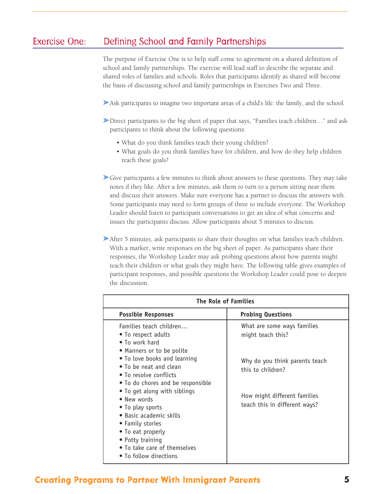# Exercise One: Defining School and Family Partnerships

The purpose of Exercise One is to help staff come to agreement on a shared definition of school and family partnerships. The exercise will lead staff to describe the separate and shared roles of families and schools. Roles that participants identify as shared will become the basis of discussing school and family partnerships in Exercises Two and Three.

➤Ask participants to imagine two important areas of a child's life: the family, and the school.

- ➤Direct participants to the big sheet of paper that says, "Families teach children…" and ask participants to think about the following questions:
	- What do you think families teach their young children?
	- What goals do you think families have for children, and how do they help children reach these goals?

➤Give participants a few minutes to think about answers to these questions. They may take notes if they like. After a few minutes, ask them to turn to a person sitting near them and discuss their answers. Make sure everyone has a partner to discuss the answers with. Some participants may need to form groups of three to include everyone. The Workshop Leader should listen to participant conversations to get an idea of what concerns and issues the participants discuss. Allow participants about 5 minutes to discuss.

▶After 5 minutes, ask participants to share their thoughts on what families teach children. With a marker, write responses on the big sheet of paper. As participants share their responses, the Workshop Leader may ask probing questions about how parents might teach their children or what goals they might have. The following table gives examples of participant responses, and possible questions the Workshop Leader could pose to deepen the discussion.

| The Role of Families                                                                                                                                                                                                                             |                                                                                                                      |  |  |  |  |  |
|--------------------------------------------------------------------------------------------------------------------------------------------------------------------------------------------------------------------------------------------------|----------------------------------------------------------------------------------------------------------------------|--|--|--|--|--|
| <b>Possible Responses</b>                                                                                                                                                                                                                        | <b>Probing Questions</b>                                                                                             |  |  |  |  |  |
| Families teach children<br>• To respect adults<br>• To work hard                                                                                                                                                                                 | What are some ways families<br>might teach this?                                                                     |  |  |  |  |  |
| • Manners or to be polite<br>• To love books and learning<br>• To be neat and clean<br>• To resolve conflicts<br>. To do chores and be responsible<br>• To get along with siblings<br>• New words<br>• To play sports<br>• Basic academic skills | Why do you think parents teach<br>this to children?<br>How might different families<br>teach this in different ways? |  |  |  |  |  |
| • Family stories<br>• To eat properly<br>• Potty training<br>• To take care of themselves<br>• To follow directions                                                                                                                              |                                                                                                                      |  |  |  |  |  |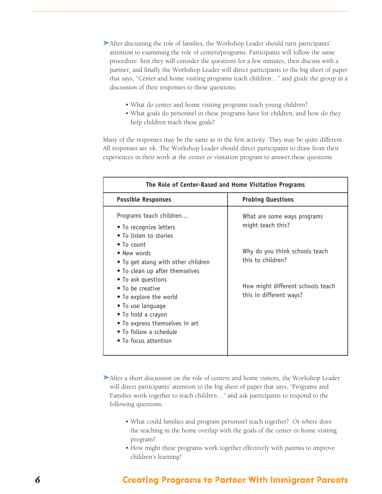- ➤After discussing the role of families, the Workshop Leader should turn participants' attention to examining the role of centers/programs. Participants will follow the same procedure: first they will consider the questions for a few minutes, then discuss with a partner, and finally the Workshop Leader will direct participants to the big sheet of paper that says, "Center and home visiting programs teach children…" and guide the group in a discussion of their responses to these questions:
	- What do center and home visiting programs teach young children?
	- What goals do personnel in these programs have for children, and how do they help children reach these goals?

Many of the responses may be the same as in the first activity. They may be quite different. All responses are ok. The Workshop Leader should direct participants to draw from their experiences in their work at the center or visitation program to answer these questions.

| The Role of Center-Based and Home Visitation Programs                                                                                                                                                                                                                                                                                                                                       |                                                                                                                                                                         |  |  |  |
|---------------------------------------------------------------------------------------------------------------------------------------------------------------------------------------------------------------------------------------------------------------------------------------------------------------------------------------------------------------------------------------------|-------------------------------------------------------------------------------------------------------------------------------------------------------------------------|--|--|--|
| <b>Possible Responses</b>                                                                                                                                                                                                                                                                                                                                                                   | <b>Probing Questions</b>                                                                                                                                                |  |  |  |
| Programs teach children<br>• To recognize letters<br>• To listen to stories<br>$\bullet$ To count<br>• New words<br>• To get along with other children<br>• To clean up after themselves<br>• To ask questions<br>• To be creative<br>• To explore the world<br>• To use language<br>• To hold a crayon<br>• To express themselves in art<br>• To follow a schedule<br>• To focus attention | What are some ways programs<br>might teach this?<br>Why do you think schools teach<br>this to children?<br>How might different schools teach<br>this in different ways? |  |  |  |

▶After a short discussion on the role of centers and home visitors, the Workshop Leader will direct participants' attention to the big sheet of paper that says, "Programs and Families work together to teach children…" and ask participants to respond to the following questions:

- What could families and program personnel teach together? Or where does the teaching in the home overlap with the goals of the center or home visiting program?
- How might these programs work together effectively with parents to improve children's learning?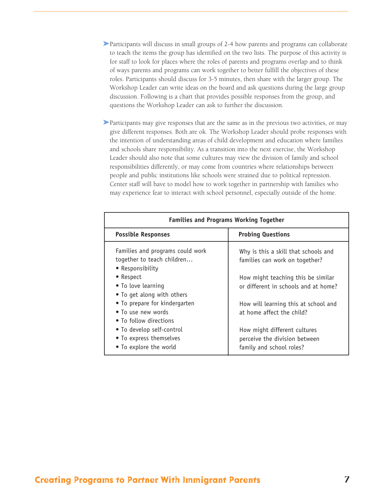- ➤Participants will discuss in small groups of 2-4 how parents and programs can collaborate to teach the items the group has identified on the two lists. The purpose of this activity is for staff to look for places where the roles of parents and programs overlap and to think of ways parents and programs can work together to better fulfill the objectives of these roles. Participants should discuss for 3-5 minutes, then share with the larger group. The Workshop Leader can write ideas on the board and ask questions during the large group discussion. Following is a chart that provides possible responses from the group, and questions the Workshop Leader can ask to further the discussion.
- ➤Participants may give responses that are the same as in the previous two activities, or may give different responses. Both are ok. The Workshop Leader should probe responses with the intention of understanding areas of child development and education where families and schools share responsibility. As a transition into the next exercise, the Workshop Leader should also note that some cultures may view the division of family and school responsibilities differently, or may come from countries where relationships between people and public institutions like schools were strained due to political repression. Center staff will have to model how to work together in partnership with families who may experience fear to interact with school personnel, especially outside of the home.

| <b>Families and Programs Working Together</b>                                                                                                                                                                                                                                              |  |  |  |  |  |  |
|--------------------------------------------------------------------------------------------------------------------------------------------------------------------------------------------------------------------------------------------------------------------------------------------|--|--|--|--|--|--|
| <b>Probing Questions</b>                                                                                                                                                                                                                                                                   |  |  |  |  |  |  |
| Why is this a skill that schools and<br>families can work on together?<br>How might teaching this be similar<br>or different in schools and at home?<br>How will learning this at school and<br>at home affect the child?<br>How might different cultures<br>perceive the division between |  |  |  |  |  |  |
|                                                                                                                                                                                                                                                                                            |  |  |  |  |  |  |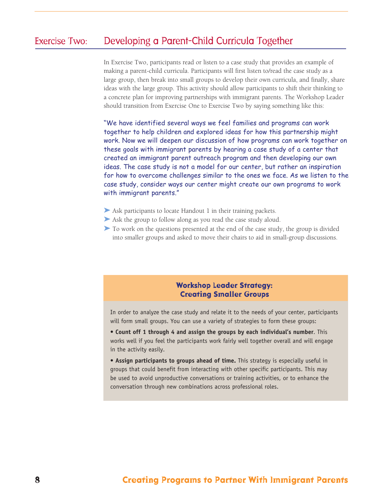# Exercise Two: Developing a Parent-Child Curricula Together

In Exercise Two, participants read or listen to a case study that provides an example of making a parent-child curricula. Participants will first listen to/read the case study as a large group, then break into small groups to develop their own curricula, and finally, share ideas with the large group. This activity should allow participants to shift their thinking to a concrete plan for improving partnerships with immigrant parents. The Workshop Leader should transition from Exercise One to Exercise Two by saying something like this:

"We have identified several ways we feel families and programs can work together to help children and explored ideas for how this partnership might work. Now we will deepen our discussion of how programs can work together on these goals with immigrant parents by hearing a case study of a center that created an immigrant parent outreach program and then developing our own ideas. The case study is not a model for our center, but rather an inspiration for how to overcome challenges similar to the ones we face. As we listen to the case study, consider ways our center might create our own programs to work with immigrant parents."

- ▶ Ask participants to locate Handout 1 in their training packets.
- ➤ Ask the group to follow along as you read the case study aloud.
- ➤ To work on the questions presented at the end of the case study, the group is divided into smaller groups and asked to move their chairs to aid in small-group discussions.

## **Workshop Leader Strategy: Creating Smaller Groups**

In order to analyze the case study and relate it to the needs of your center, participants will form small groups. You can use a variety of strategies to form these groups:

- **Count off 1 through 4 and assign the groups by each individual's number**. This works well if you feel the participants work fairly well together overall and will engage in the activity easily.
- **Assign participants to groups ahead of time.** This strategy is especially useful in groups that could benefit from interacting with other specific participants. This may be used to avoid unproductive conversations or training activities, or to enhance the conversation through new combinations across professional roles.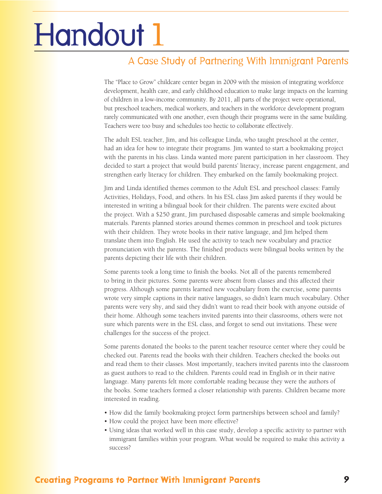# Handout 1

# A Case Study of Partnering With Immigrant Parents

The "Place to Grow" childcare center began in 2009 with the mission of integrating workforce development, health care, and early childhood education to make large impacts on the learning of children in a low-income community. By 2011, all parts of the project were operational, but preschool teachers, medical workers, and teachers in the workforce development program rarely communicated with one another, even though their programs were in the same building. Teachers were too busy and schedules too hectic to collaborate effectively.

The adult ESL teacher, Jim, and his colleague Linda, who taught preschool at the center, had an idea for how to integrate their programs. Jim wanted to start a bookmaking project with the parents in his class. Linda wanted more parent participation in her classroom. They decided to start a project that would build parents' literacy, increase parent engagement, and strengthen early literacy for children. They embarked on the family bookmaking project.

Jim and Linda identified themes common to the Adult ESL and preschool classes: Family Activities, Holidays, Food, and others. In his ESL class Jim asked parents if they would be interested in writing a bilingual book for their children. The parents were excited about the project. With a \$250 grant, Jim purchased disposable cameras and simple bookmaking materials. Parents planned stories around themes common in preschool and took pictures with their children. They wrote books in their native language, and Jim helped them translate them into English. He used the activity to teach new vocabulary and practice pronunciation with the parents. The finished products were bilingual books written by the parents depicting their life with their children.

Some parents took a long time to finish the books. Not all of the parents remembered to bring in their pictures. Some parents were absent from classes and this affected their progress. Although some parents learned new vocabulary from the exercise, some parents wrote very simple captions in their native languages, so didn't learn much vocabulary. Other parents were very shy, and said they didn't want to read their book with anyone outside of their home. Although some teachers invited parents into their classrooms, others were not sure which parents were in the ESL class, and forgot to send out invitations. These were challenges for the success of the project.

Some parents donated the books to the parent teacher resource center where they could be checked out. Parents read the books with their children. Teachers checked the books out and read them to their classes. Most importantly, teachers invited parents into the classroom as guest authors to read to the children. Parents could read in English or in their native language. Many parents felt more comfortable reading because they were the authors of the books. Some teachers formed a closer relationship with parents. Children became more interested in reading.

- How did the family bookmaking project form partnerships between school and family?
- How could the project have been more effective?
- Using ideas that worked well in this case study, develop a specific activity to partner with immigrant families within your program. What would be required to make this activity a success?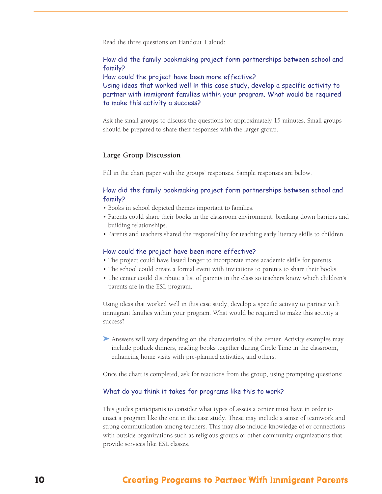Read the three questions on Handout 1 aloud:

How did the family bookmaking project form partnerships between school and family?

How could the project have been more effective?

Using ideas that worked well in this case study, develop a specific activity to partner with immigrant families within your program. What would be required to make this activity a success?

Ask the small groups to discuss the questions for approximately 15 minutes. Small groups should be prepared to share their responses with the larger group.

## **Large Group Discussion**

Fill in the chart paper with the groups' responses. Sample responses are below.

## How did the family bookmaking project form partnerships between school and family?

- Books in school depicted themes important to families.
- Parents could share their books in the classroom environment, breaking down barriers and building relationships.
- Parents and teachers shared the responsibility for teaching early literacy skills to children.

#### How could the project have been more effective?

- The project could have lasted longer to incorporate more academic skills for parents.
- The school could create a formal event with invitations to parents to share their books.
- The center could distribute a list of parents in the class so teachers know which children's parents are in the ESL program.

Using ideas that worked well in this case study, develop a specific activity to partner with immigrant families within your program. What would be required to make this activity a success?

➤ Answers will vary depending on the characteristics of the center. Activity examples may include potluck dinners, reading books together during Circle Time in the classroom, enhancing home visits with pre-planned activities, and others.

Once the chart is completed, ask for reactions from the group, using prompting questions:

#### What do you think it takes for programs like this to work?

This guides participants to consider what types of assets a center must have in order to enact a program like the one in the case study. These may include a sense of teamwork and strong communication among teachers. This may also include knowledge of or connections with outside organizations such as religious groups or other community organizations that provide services like ESL classes.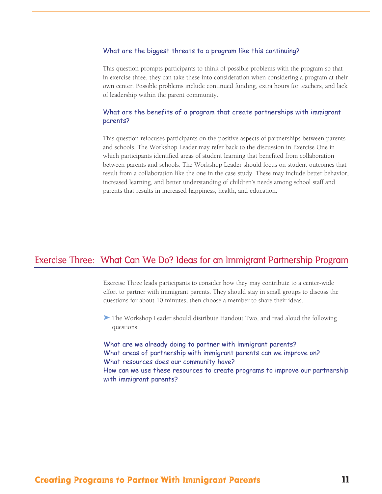### What are the biggest threats to a program like this continuing?

This question prompts participants to think of possible problems with the program so that in exercise three, they can take these into consideration when considering a program at their own center. Possible problems include continued funding, extra hours for teachers, and lack of leadership within the parent community.

## What are the benefits of a program that create partnerships with immigrant parents?

This question refocuses participants on the positive aspects of partnerships between parents and schools. The Workshop Leader may refer back to the discussion in Exercise One in which participants identified areas of student learning that benefited from collaboration between parents and schools. The Workshop Leader should focus on student outcomes that result from a collaboration like the one in the case study. These may include better behavior, increased learning, and better understanding of children's needs among school staff and parents that results in increased happiness, health, and education.

## Exercise Three: What Can We Do? Ideas for an Immigrant Partnership Program

Exercise Three leads participants to consider how they may contribute to a center-wide effort to partner with immigrant parents. They should stay in small groups to discuss the questions for about 10 minutes, then choose a member to share their ideas.

➤ The Workshop Leader should distribute Handout Two, and read aloud the following questions:

What are we already doing to partner with immigrant parents? What areas of partnership with immigrant parents can we improve on? What resources does our community have? How can we use these resources to create programs to improve our partnership with immigrant parents?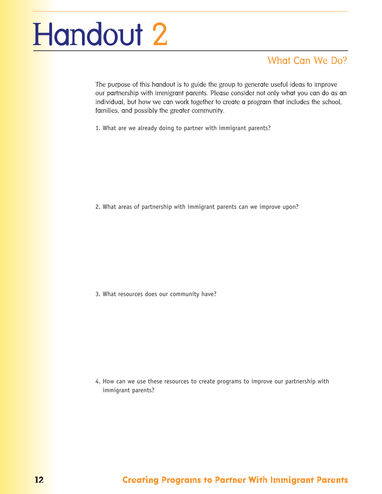# Handout 2

# What Can We Do?

The purpose of this handout is to guide the group to generate useful ideas to improve our partnership with immigrant parents. Please consider not only what you can do as an individual, but how we can work together to create a program that includes the school, families, and possibly the greater community.

1. What are we already doing to partner with immigrant parents?

2. What areas of partnership with immigrant parents can we improve upon?

3. What resources does our community have?

4. How can we use these resources to create programs to improve our partnership with immigrant parents?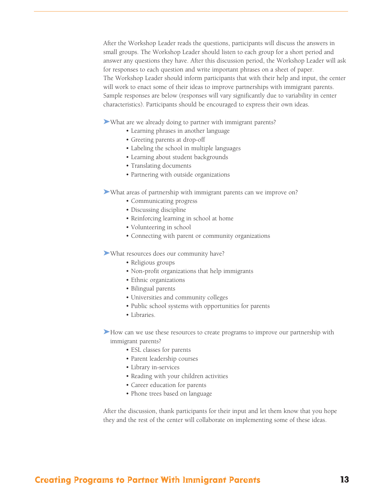After the Workshop Leader reads the questions, participants will discuss the answers in small groups. The Workshop Leader should listen to each group for a short period and answer any questions they have. After this discussion period, the Workshop Leader will ask for responses to each question and write important phrases on a sheet of paper. The Workshop Leader should inform participants that with their help and input, the center will work to enact some of their ideas to improve partnerships with immigrant parents. Sample responses are below (responses will vary significantly due to variability in center characteristics). Participants should be encouraged to express their own ideas.

➤What are we already doing to partner with immigrant parents?

- Learning phrases in another language
- Greeting parents at drop-off
- Labeling the school in multiple languages
- Learning about student backgrounds
- Translating documents
- Partnering with outside organizations

➤What areas of partnership with immigrant parents can we improve on?

- Communicating progress
- Discussing discipline
- Reinforcing learning in school at home
- Volunteering in school
- Connecting with parent or community organizations

➤What resources does our community have?

- Religious groups
- Non-profit organizations that help immigrants
- Ethnic organizations
- Bilingual parents
- Universities and community colleges
- Public school systems with opportunities for parents
- Libraries.

➤How can we use these resources to create programs to improve our partnership with immigrant parents?

- ESL classes for parents
- Parent leadership courses
- Library in-services
- Reading with your children activities
- Career education for parents
- Phone trees based on language

After the discussion, thank participants for their input and let them know that you hope they and the rest of the center will collaborate on implementing some of these ideas.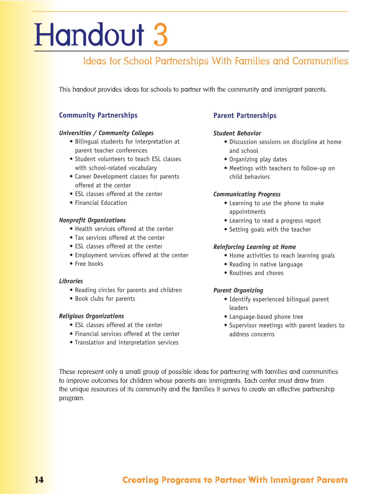# Handout 3

# Ideas for School Partnerships With Families and Communities

This handout provides ideas for schools to partner with the community and immigrant parents.

## **Community Partnerships**

## *Universities / Community Colleges*

- Bilingual students for interpretation at parent teacher conferences
- Student volunteers to teach ESL classes with school-related vocabulary
- Career Development classes for parents offered at the center
- ESL classes offered at the center
- Financial Education

## *Nonprofit Organizations*

- Health services offered at the center
- Tax services offered at the center
- ESL classes offered at the center
- Employment services offered at the center
- Free books

## *Libraries*

- Reading circles for parents and children
- Book clubs for parents

## *Religious Organizations*

- ESL classes offered at the center
- Financial services offered at the center
- Translation and interpretation services

## **Parent Partnerships**

## *Student Behavior*

- Discussion sessions on discipline at home and school
- Organizing play dates
- Meetings with teachers to follow-up on child behaviors

## *Communicating Progress*

- Learning to use the phone to make appointments
- Learning to read a progress report
- Setting goals with the teacher

## *Reinforcing Learning at Home*

- Home activities to reach learning goals
- Reading in native language
- Routines and chores

## *Parent Organizing*

- Identify experienced bilingual parent leaders
- Language-based phone tree
- Supervisor meetings with parent leaders to address concerns

These represent only a small group of possible ideas for partnering with families and communities to improve outcomes for children whose parents are immigrants. Each center must draw from the unique resources of its community and the families it serves to create an effective partnership program.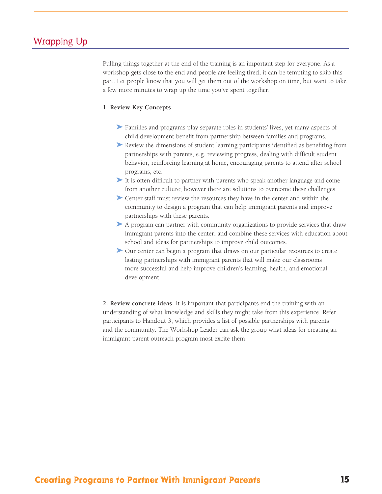# Wrapping Up

Pulling things together at the end of the training is an important step for everyone. As a workshop gets close to the end and people are feeling tired, it can be tempting to skip this part. Let people know that you will get them out of the workshop on time, but want to take a few more minutes to wrap up the time you've spent together.

### **1. Review Key Concepts**

- ➤ Families and programs play separate roles in students' lives, yet many aspects of child development benefit from partnership between families and programs.
- ➤ Review the dimensions of student learning participants identified as benefiting from partnerships with parents, e.g. reviewing progress, dealing with difficult student behavior, reinforcing learning at home, encouraging parents to attend after school programs, etc.
- ➤ It is often difficult to partner with parents who speak another language and come from another culture; however there are solutions to overcome these challenges.
- ➤ Center staff must review the resources they have in the center and within the community to design a program that can help immigrant parents and improve partnerships with these parents.
- ▶ A program can partner with community organizations to provide services that draw immigrant parents into the center, and combine these services with education about school and ideas for partnerships to improve child outcomes.
- ➤ Our center can begin a program that draws on our particular resources to create lasting partnerships with immigrant parents that will make our classrooms more successful and help improve children's learning, health, and emotional development.

**2. Review concrete ideas.** It is important that participants end the training with an understanding of what knowledge and skills they might take from this experience. Refer participants to Handout 3, which provides a list of possible partnerships with parents and the community. The Workshop Leader can ask the group what ideas for creating an immigrant parent outreach program most excite them.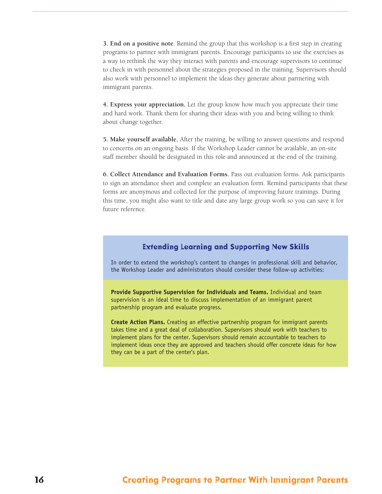**3. End on a positive note**. Remind the group that this workshop is a first step in creating programs to partner with immigrant parents. Encourage participants to use the exercises as a way to rethink the way they interact with parents and encourage supervisors to continue to check in with personnel about the strategies proposed in the training. Supervisors should also work with personnel to implement the ideas they generate about partnering with immigrant parents.

**4. Express your appreciation.** Let the group know how much you appreciate their time and hard work. Thank them for sharing their ideas with you and being willing to think about change together.

**5. Make yourself available.** After the training, be willing to answer questions and respond to concerns on an ongoing basis. If the Workshop Leader cannot be available, an on-site staff member should be designated in this role and announced at the end of the training.

**6. Collect Attendance and Evaluation Forms.** Pass out evaluation forms. Ask participants to sign an attendance sheet and complete an evaluation form. Remind participants that these forms are anonymous and collected for the purpose of improving future trainings. During this time, you might also want to title and date any large group work so you can save it for future reference.

## **Extending Learning and Supporting New Skills**

In order to extend the workshop's content to changes in professional skill and behavior, the Workshop Leader and administrators should consider these follow-up activities:

**Provide Supportive Supervision for Individuals and Teams.** Individual and team supervision is an ideal time to discuss implementation of an immigrant parent partnership program and evaluate progress.

**Create Action Plans.** Creating an effective partnership program for immigrant parents takes time and a great deal of collaboration. Supervisors should work with teachers to implement plans for the center. Supervisors should remain accountable to teachers to implement ideas once they are approved and teachers should offer concrete ideas for how they can be a part of the center's plan.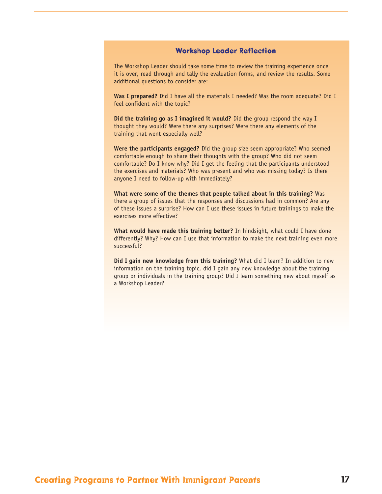## **Workshop Leader Reflection**

The Workshop Leader should take some time to review the training experience once it is over, read through and tally the evaluation forms, and review the results. Some additional questions to consider are:

**Was I prepared?** Did I have all the materials I needed? Was the room adequate? Did I feel confident with the topic?

**Did the training go as I imagined it would?** Did the group respond the way I thought they would? Were there any surprises? Were there any elements of the training that went especially well?

**Were the participants engaged?** Did the group size seem appropriate? Who seemed comfortable enough to share their thoughts with the group? Who did not seem comfortable? Do I know why? Did I get the feeling that the participants understood the exercises and materials? Who was present and who was missing today? Is there anyone I need to follow-up with immediately?

**What were some of the themes that people talked about in this training?** Was there a group of issues that the responses and discussions had in common? Are any of these issues a surprise? How can I use these issues in future trainings to make the exercises more effective?

**What would have made this training better?** In hindsight, what could I have done differently? Why? How can I use that information to make the next training even more successful?

**Did I gain new knowledge from this training?** What did I learn? In addition to new information on the training topic, did I gain any new knowledge about the training group or individuals in the training group? Did I learn something new about myself as a Workshop Leader?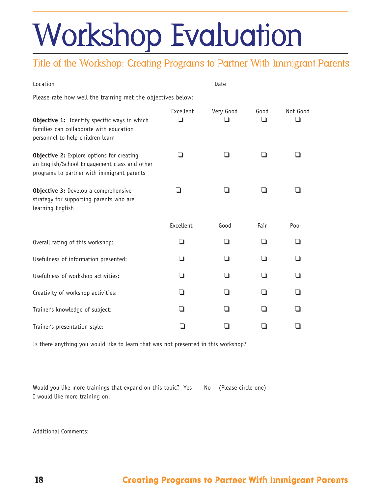# Workshop Evaluation

# Title of the Workshop: Creating Programs to Partner With Immigrant Parents

| Please rate how well the training met the objectives below:                                                                                    |                |                  |           |               |  |  |  |
|------------------------------------------------------------------------------------------------------------------------------------------------|----------------|------------------|-----------|---------------|--|--|--|
| Objective 1: Identify specific ways in which<br>families can collaborate with education<br>personnel to help children learn                    | Excellent<br>□ | Very Good<br>l 1 | Good<br>□ | Not Good<br>∩ |  |  |  |
| <b>Objective 2:</b> Explore options for creating<br>an English/School Engagement class and other<br>programs to partner with immigrant parents |                | n                |           | □             |  |  |  |
| Objective 3: Develop a comprehensive<br>strategy for supporting parents who are<br>learning English                                            | ┚              | ❏                | - 1       | ❏             |  |  |  |
|                                                                                                                                                | Excellent      | Good             | Fair      | Poor          |  |  |  |
| Overall rating of this workshop:                                                                                                               | ❏              | ◻                | □         | ❏             |  |  |  |
| Usefulness of information presented:                                                                                                           | ◘              | □                | □         | ❏             |  |  |  |
| Usefulness of workshop activities:                                                                                                             | ◻              | □                | □         | □             |  |  |  |
| Creativity of workshop activities:                                                                                                             | ❏              | □                | $\Box$    | □             |  |  |  |
| Trainer's knowledge of subject:                                                                                                                | ◘              | H                | H         | □             |  |  |  |
| Trainer's presentation style:                                                                                                                  |                |                  |           | ı.            |  |  |  |

Is there anything you would like to learn that was not presented in this workshop?

Would you like more trainings that expand on this topic? Yes No (Please circle one) I would like more training on:

Additional Comments: